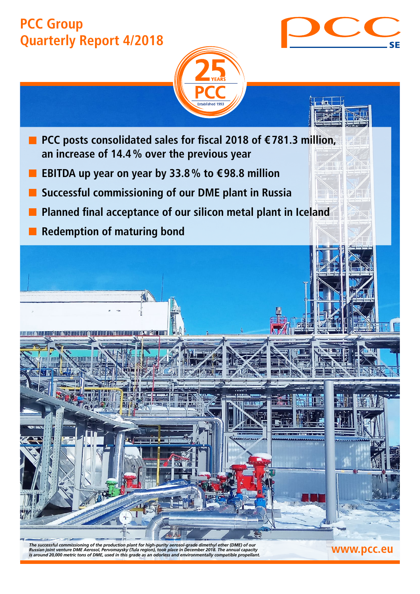# **PCC Group Quarterly Report 4/2018**



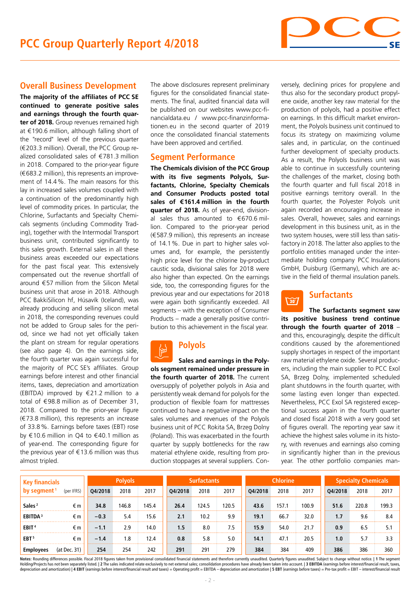

### **Overall Business Development**

**The majority of the affiliates of PCC SE continued to generate positive sales and earnings through the fourth quarter of 2018.** Group revenues remained high at €190.6 million, although falling short of the "record" level of the previous quarter (€203.3 million). Overall, the PCC Group realized consolidated sales of €781.3 million in 2018. Compared to the prior-year figure (€683.2 million), this represents an improvement of 14.4%. The main reasons for this lay in increased sales volumes coupled with a continuation of the predominantly high level of commodity prices. In particular, the Chlorine, Surfactants and Specialty Chemicals segments (including Commodity Trading), together with the Intermodal Transport business unit, contributed significantly to this sales growth. External sales in all these business areas exceeded our expectations for the past fiscal year. This extensively compensated out the revenue shortfall of around €57 million from the Silicon Metal business unit that arose in 2018. Although PCC BakkiSilicon hf, Húsavík (Iceland), was already producing and selling silicon metal in 2018, the corresponding revenues could not be added to Group sales for the period, since we had not yet officially taken the plant on stream for regular operations (see also page 4). On the earnings side, the fourth quarter was again successful for the majority of PCC SE's affiliates. Group earnings before interest and other financial items, taxes, depreciation and amortization (EBITDA) improved by €21.2 million to a total of €98.8 million as of December 31, 2018. Compared to the prior-year figure (€73.8 million), this represents an increase of 33.8%. Earnings before taxes (EBT) rose by €10.6 million in Q4 to €40.1 million as of year-end. The corresponding figure for the previous year of  $\in$  13.6 million was thus almost tripled.

The above disclosures represent preliminary figures for the consolidated financial statements. The final, audited financial data will be published on our websites www.pcc-financialdata.eu / www.pcc-finanzinformationen.eu in the second quarter of 2019 once the consolidated financial statements have been approved and certified.

### **Segment Performance**

**The Chemicals division of the PCC Group with its five segments Polyols, Surfactants, Chlorine, Specialty Chemicals and Consumer Products posted total sales of €161.4 million in the fourth quarter of 2018.** As of year-end, divisional sales thus amounted to  $\epsilon$ 670.6 million. Compared to the prior-year period (€587.9 million), this represents an increase of 14.1%. Due in part to higher sales volumes and, for example, the persistently high price level for the chlorine by-product caustic soda, divisional sales for 2018 were also higher than expected. On the earnings side, too, the corresponding figures for the previous year and our expectations for 2018 were again both significantly exceeded. All segments – with the exception of Consumer Products – made a generally positive contribution to this achievement in the fiscal year.

#### **Polyols** ष्क्षि

**Sales and earnings in the Polyols segment remained under pressure in the fourth quarter of 2018.** The current oversupply of polyether polyols in Asia and persistently weak demand for polyols for the production of flexible foam for mattresses continued to have a negative impact on the sales volumes and revenues of the Polyols business unit of PCC Rokita SA, Brzeg Dolny (Poland). This was exacerbated in the fourth quarter by supply bottlenecks for the raw material ethylene oxide, resulting from production stoppages at several suppliers. Conversely, declining prices for propylene and thus also for the secondary product propylene oxide, another key raw material for the production of polyols, had a positive effect on earnings. In this difficult market environment, the Polyols business unit continued to focus its strategy on maximizing volume sales and, in particular, on the continued further development of specialty products. As a result, the Polyols business unit was able to continue in successfully countering the challenges of the market, closing both the fourth quarter and full fiscal 2018 in positive earnings territory overall. In the fourth quarter, the Polyester Polyols unit again recorded an encouraging increase in sales. Overall, however, sales and earnings development in this business unit, as in the two system houses, were still less than satisfactory in 2018. The latter also applies to the portfolio entities managed under the intermediate holding company PCC Insulations GmbH, Duisburg (Germany), which are active in the field of thermal insulation panels.

#### **Surfactants**  $\sqrt{307}$

**The Surfactants segment saw its positive business trend continue through the fourth quarter of 2018** – and this, encouragingly, despite the difficult conditions caused by the aforementioned supply shortages in respect of the important raw material ethylene oxide. Several producers, including the main supplier to PCC Exol SA, Brzeg Dolny, implemented scheduled plant shutdowns in the fourth quarter, with some lasting even longer than expected. Nevertheless, PCC Exol SA registered exceptional success again in the fourth quarter and closed fiscal 2018 with a very good set of figures overall. The reporting year saw it achieve the highest sales volume in its history, with revenues and earnings also coming in significantly higher than in the previous year. The other portfolio companies man-

| <b>Key financials</b>   |              | <b>Polyols</b> |       |       | <b>Surfactants</b> |       |       | <b>Chlorine</b> |       |       | <b>Specialty Chemicals</b> |       |       |
|-------------------------|--------------|----------------|-------|-------|--------------------|-------|-------|-----------------|-------|-------|----------------------------|-------|-------|
| by segment <sup>1</sup> | (per IFRS)   | Q4/2018        | 2018  | 2017  | Q4/2018            | 2018  | 2017  | Q4/2018         | 2018  | 2017  | Q4/2018                    | 2018  | 2017  |
| Sales <sup>2</sup>      | €m           | 34.8           | 146.8 | 145.4 | 26.4               | 124.5 | 120.5 | 43.6            | 157.1 | 100.9 | 51.6                       | 220.8 | 199.3 |
| EBITDA <sup>3</sup>     | €m           | $-0.3$         | 5.4   | 15.6  | 2.1                | 10.2  | 9.9   | 19.1            | 66.7  | 32.0  | 1.7                        | 9.6   | 8.4   |
| EBIT <sup>4</sup>       | €m           | $-1.1$         | 2.9   | 14.0  | 1.5                | 8.0   | 7.5   | 15.9            | 54.0  | 21.7  | 0.9                        | 6.5   | 5.1   |
| EBT <sup>5</sup>        | €m           | $-1.4$         | 1.8   | 12.4  | 0.8                | 5.8   | 5.0   | 14.1            | 47.1  | 20.5  | 1.0                        | 5.7   | 3.3   |
| <b>Employees</b>        | (at Dec. 31) | 254            | 254   | 242   | 291                | 291   | 279   | 384             | 384   | 409   | 386                        | 386   | 360   |

Notes: Rounding differences possible. Fiscal 2018 figures taken from provisional consolidated financial statements and therefore currently unaudited. Quarterly figures unaudited. Subject to change without notice. | 1 The s Holding/Projects has not been separately listed. | 2 The sales indicated relate exclusively to net external sales; consolidation procedures have already been taken into account. | 3 EBITDA (earnings before interest/financi depreciation and amortization) | 4 EBIT (earnings before interest/financial result and taxes) = Operating profit = EBITDA - depreciation and amortization | 5 EBT (earnings before taxes) = Pre-tax profit = EBIT - interest/f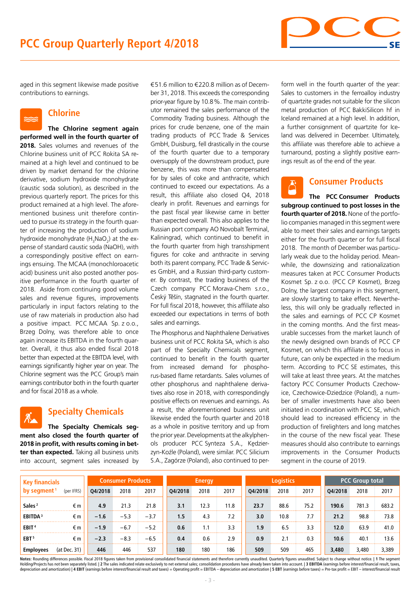

aged in this segment likewise made positive contributions to earnings.

# **Chlorine**

**The Chlorine segment again performed well in the fourth quarter of 2018.** Sales volumes and revenues of the Chlorine business unit of PCC Rokita SA remained at a high level and continued to be driven by market demand for the chlorine derivative, sodium hydroxide monohydrate (caustic soda solution), as described in the previous quarterly report. The prices for this product remained at a high level. The aforementioned business unit therefore continued to pursue its strategy in the fourth quarter of increasing the production of sodium hydroxide monohydrate (H<sub>3</sub>NaO<sub>2</sub>) at the expense of standard caustic soda (NaOH), with a correspondingly positive effect on earnings ensuing. The MCAA (monochloroacetic acid) business unit also posted another positive performance in the fourth quarter of 2018. Aside from continuing good volume sales and revenue figures, improvements particularly in input factors relating to the use of raw materials in production also had a positive impact. PCC MCAA Sp. z o.o., Brzeg Dolny, was therefore able to once again increase its EBITDA in the fourth quarter. Overall, it thus also ended fiscal 2018 better than expected at the EBITDA level, with earnings significantly higher year on year. The Chlorine segment was the PCC Group's main earnings contributor both in the fourth quarter and for fiscal 2018 as a whole.

## **Specialty Chemicals**

**The Specialty Chemicals segment also closed the fourth quarter of 2018 in profit, with results coming in better than expected.** Taking all business units into account, segment sales increased by

€51.6 million to €220.8 million as of December 31, 2018. This exceeds the corresponding prior-year figure by 10.8%. The main contributor remained the sales performance of the Commodity Trading business. Although the prices for crude benzene, one of the main trading products of PCC Trade & Services GmbH, Duisburg, fell drastically in the course of the fourth quarter due to a temporary oversupply of the downstream product, pure benzene, this was more than compensated for by sales of coke and anthracite, which continued to exceed our expectations. As a result, this affiliate also closed Q4, 2018 clearly in profit. Revenues and earnings for the past fiscal year likewise came in better than expected overall. This also applies to the Russian port company AO Novobalt Terminal, Kaliningrad, which continued to benefit in the fourth quarter from high transshipment figures for coke and anthracite in serving both its parent company, PCC Trade & Services GmbH, and a Russian third-party customer. By contrast, the trading business of the Czech company PCC Morava-Chem s.r.o., Český Těšín, stagnated in the fourth quarter. For full fiscal 2018, however, this affiliate also exceeded our expectations in terms of both sales and earnings.

The Phosphorus and Naphthalene Derivatives business unit of PCC Rokita SA, which is also part of the Specialty Chemicals segment, continued to benefit in the fourth quarter from increased demand for phosphorus-based flame retardants. Sales volumes of other phosphorus and naphthalene derivatives also rose in 2018, with correspondingly positive effects on revenues and earnings. As a result, the aforementioned business unit likewise ended the fourth quarter and 2018 as a whole in positive territory and up from the prior year. Developments at the alkylphenols producer PCC Synteza S.A., Kędzierzyn-Koźle (Poland), were similar. PCC Silicium S.A., Zagórze (Poland), also continued to per-

form well in the fourth quarter of the year: Sales to customers in the ferroalloy industry of quartzite grades not suitable for the silicon metal production of PCC BakkiSilicon hf in Iceland remained at a high level. In addition, a further consignment of quartzite for Iceland was delivered in December. Ultimately, this affiliate was therefore able to achieve a turnaround, posting a slightly positive earnings result as of the end of the year.

## **Consumer Products**

**The PCC Consumer Products subgroup continued to post losses in the fourth quarter of 2018.** None of the portfolio companies managed in this segment were able to meet their sales and earnings targets either for the fourth quarter or for full fiscal 2018. The month of December was particularly weak due to the holiday period. Meanwhile, the downsizing and rationalization measures taken at PCC Consumer Products Kosmet Sp. z o.o. (PCC CP Kosmet), Brzeg Dolny, the largest company in this segment, are slowly starting to take effect. Nevertheless, this will only be gradually reflected in the sales and earnings of PCC CP Kosmet in the coming months. And the first measurable successes from the market launch of the newly designed own brands of PCC CP Kosmet, on which this affiliate is to focus in future, can only be expected in the medium term. According to PCC SE estimates, this will take at least three years. At the matches factory PCC Consumer Products Czechowice, Czechowice-Dziedzice (Poland), a number of smaller investments have also been initiated in coordination with PCC SE, which should lead to increased efficiency in the production of firelighters and long matches in the course of the new fiscal year. These measures should also contribute to earnings improvements in the Consumer Products segment in the course of 2019.

| <b>Key financials</b>   |              | <b>Consumer Products</b> |        |        | <b>Energy</b> |      |      | <b>Logistics</b> |      |      | <b>PCC Group total</b> |       |       |
|-------------------------|--------------|--------------------------|--------|--------|---------------|------|------|------------------|------|------|------------------------|-------|-------|
| by segment <sup>1</sup> | (per IFRS)   | Q4/2018                  | 2018   | 2017   | Q4/2018       | 2018 | 2017 | Q4/2018          | 2018 | 2017 | Q4/2018                | 2018  | 2017  |
| Sales <sup>2</sup>      | €m           | 4.9                      | 21.3   | 21.8   | 3.1           | 12.3 | 11.8 | 23.7             | 88.6 | 75.2 | 190.6                  | 781.3 | 683.2 |
| EBITDA <sup>3</sup>     | €m           | $-1.6$                   | $-5.3$ | $-3.7$ | 1.5           | 4.3  | 7.2  | 3.0              | 10.8 | 7.7  | 21.2                   | 98.8  | 73.8  |
| EBIT <sup>4</sup>       | €m           | $-1.9$                   | $-6.7$ | $-5.2$ | 0.6           | 1.1  | 3.3  | 1.9              | 6.5  | 3.3  | 12.0                   | 63.9  | 41.0  |
| EBT <sup>5</sup>        | €m           | $-2.3$                   | $-8.3$ | $-6.5$ | 0.4           | 0.6  | 2.9  | 0.9              | 2.1  | 0.3  | 10.6                   | 40.1  | 13.6  |
| <b>Employees</b>        | (at Dec. 31) | 446                      | 446    | 537    | 180           | 180  | 186  | 509              | 509  | 465  | 3,480                  | 3,480 | 3,389 |

Notes: Rounding differences possible. Fiscal 2018 figures taken from provisional consolidated financial statements and therefore currently unaudited. Quarterly figures unaudited. Subject to change without notice. | 1 The s Holding/Projects has not been separately listed. | 2 The sales indicated relate exclusively to net external sales; consolidation procedures have already been taken into account. | 3 EBITDA (earnings before interest/financi depreciation and amortization) | 4 EBIT (earnings before interest/financial result and taxes) = Operating profit = EBITDA - depreciation and amortization | 5 EBT (earnings before taxes) = Pre-tax profit = EBIT - interest/f